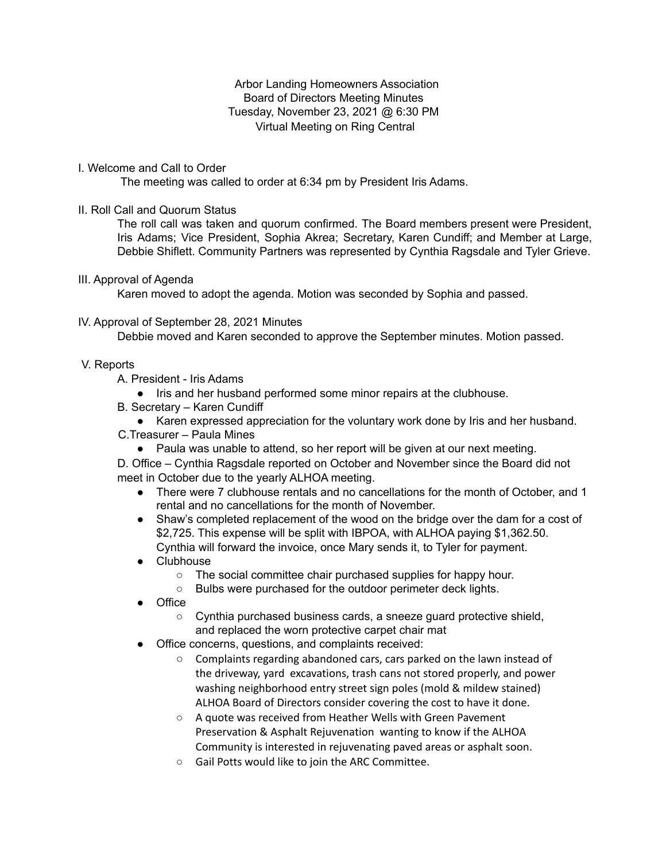Arbor Landing Homeowners Association Board of Directors Meeting Minutes Tuesday, November 23, 2021 @ 6:30 PM Virtual Meeting on Ring Central

I. Welcome and Call to Order

The meeting was called to order at 6:34 pm by President Iris Adams.

II. Roll Call and Quorum Status

The roll call was taken and quorum confirmed. The Board members present were President, Iris Adams; Vice President, Sophia Akrea; Secretary, Karen Cundiff; and Member at Large, Debbie Shiflett. Community Partners was represented by Cynthia Ragsdale and Tyler Grieve.

III. Approval of Agenda

Karen moved to adopt the agenda. Motion was seconded by Sophia and passed.

## IV. Approval of September 28, 2021 Minutes

Debbie moved and Karen seconded to approve the September minutes. Motion passed.

- V. Reports
	- A. President Iris Adams
		- Iris and her husband performed some minor repairs at the clubhouse.
	- B. Secretary Karen Cundiff
	- Karen expressed appreciation for the voluntary work done by Iris and her husband. C.Treasurer – Paula Mines
		- Paula was unable to attend, so her report will be given at our next meeting.

D. Office – Cynthia Ragsdale reported on October and November since the Board did not meet in October due to the yearly ALHOA meeting.

- There were 7 clubhouse rentals and no cancellations for the month of October, and 1 rental and no cancellations for the month of November.
- Shaw's completed replacement of the wood on the bridge over the dam for a cost of \$2,725. This expense will be split with IBPOA, with ALHOA paying \$1,362.50. Cynthia will forward the invoice, once Mary sends it, to Tyler for payment.
- Clubhouse
	- The social committee chair purchased supplies for happy hour.
	- Bulbs were purchased for the outdoor perimeter deck lights.
- Office
	- Cynthia purchased business cards, a sneeze guard protective shield, and replaced the worn protective carpet chair mat
- Office concerns, questions, and complaints received:
	- Complaints regarding abandoned cars, cars parked on the lawn instead of the driveway, yard excavations, trash cans not stored properly, and power washing neighborhood entry street sign poles (mold & mildew stained) ALHOA Board of Directors consider covering the cost to have it done.
	- A quote was received from Heather Wells with Green Pavement Preservation & Asphalt Rejuvenation wanting to know if the ALHOA Community is interested in rejuvenating paved areas or asphalt soon.
	- Gail Potts would like to join the ARC Committee.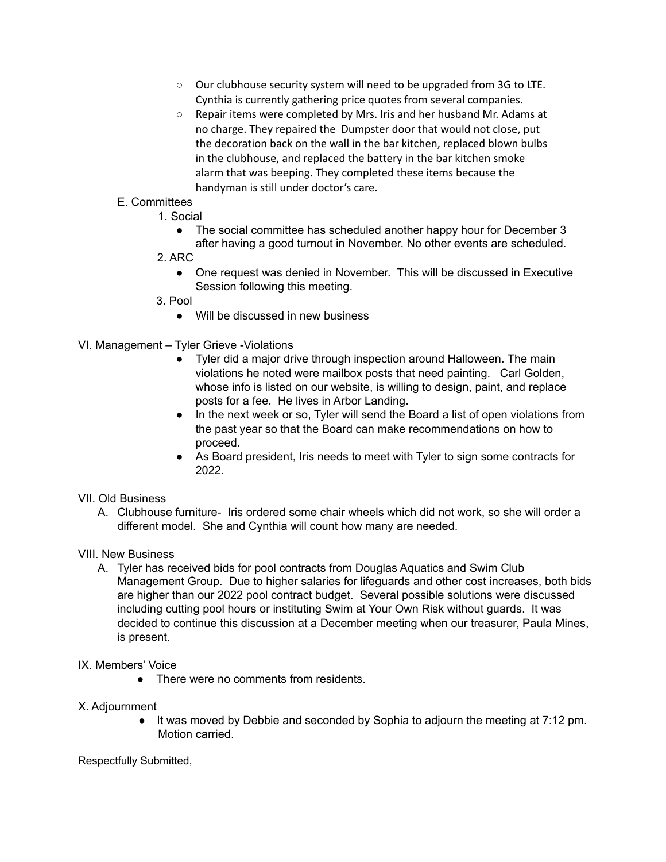- Our clubhouse security system will need to be upgraded from 3G to LTE. Cynthia is currently gathering price quotes from several companies.
- Repair items were completed by Mrs. Iris and her husband Mr. Adams at no charge. They repaired the Dumpster door that would not close, put the decoration back on the wall in the bar kitchen, replaced blown bulbs in the clubhouse, and replaced the battery in the bar kitchen smoke alarm that was beeping. They completed these items because the handyman is still under doctor's care.

# E. Committees

- 1. Social
	- The social committee has scheduled another happy hour for December 3 after having a good turnout in November. No other events are scheduled.
- 2. ARC
	- One request was denied in November. This will be discussed in Executive Session following this meeting.
- 3. Pool
	- Will be discussed in new business
- VI. Management Tyler Grieve -Violations
	- Tyler did a major drive through inspection around Halloween. The main violations he noted were mailbox posts that need painting. Carl Golden, whose info is listed on our website, is willing to design, paint, and replace posts for a fee. He lives in Arbor Landing.
	- In the next week or so, Tyler will send the Board a list of open violations from the past year so that the Board can make recommendations on how to proceed.
	- As Board president, Iris needs to meet with Tyler to sign some contracts for 2022.

### VII. Old Business

A. Clubhouse furniture- Iris ordered some chair wheels which did not work, so she will order a different model. She and Cynthia will count how many are needed.

#### VIII. New Business

A. Tyler has received bids for pool contracts from Douglas Aquatics and Swim Club Management Group. Due to higher salaries for lifeguards and other cost increases, both bids are higher than our 2022 pool contract budget. Several possible solutions were discussed including cutting pool hours or instituting Swim at Your Own Risk without guards. It was decided to continue this discussion at a December meeting when our treasurer, Paula Mines, is present.

#### IX. Members' Voice

• There were no comments from residents.

#### X. Adjournment

● It was moved by Debbie and seconded by Sophia to adjourn the meeting at 7:12 pm. Motion carried.

#### Respectfully Submitted,